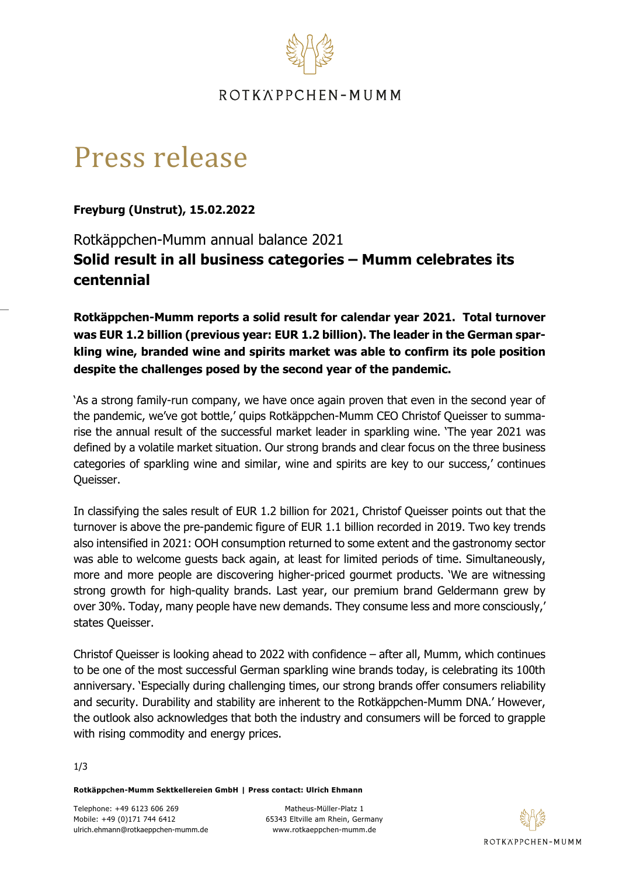

# ROTKÄPPCHEN-MUMM

# Press release

**Freyburg (Unstrut), 15.02.2022**

Rotkäppchen-Mumm annual balance 2021 **Solid result in all business categories – Mumm celebrates its centennial**

**Rotkäppchen-Mumm reports a solid result for calendar year 2021. Total turnover was EUR 1.2 billion (previous year: EUR 1.2 billion). The leader in the German sparkling wine, branded wine and spirits market was able to confirm its pole position despite the challenges posed by the second year of the pandemic.** 

'As a strong family-run company, we have once again proven that even in the second year of the pandemic, we've got bottle,' quips Rotkäppchen-Mumm CEO Christof Queisser to summarise the annual result of the successful market leader in sparkling wine. 'The year 2021 was defined by a volatile market situation. Our strong brands and clear focus on the three business categories of sparkling wine and similar, wine and spirits are key to our success,' continues Queisser.

In classifying the sales result of EUR 1.2 billion for 2021, Christof Queisser points out that the turnover is above the pre-pandemic figure of EUR 1.1 billion recorded in 2019. Two key trends also intensified in 2021: OOH consumption returned to some extent and the gastronomy sector was able to welcome guests back again, at least for limited periods of time. Simultaneously, more and more people are discovering higher-priced gourmet products. 'We are witnessing strong growth for high-quality brands. Last year, our premium brand Geldermann grew by over 30%. Today, many people have new demands. They consume less and more consciously,' states Queisser.

Christof Queisser is looking ahead to 2022 with confidence – after all, Mumm, which continues to be one of the most successful German sparkling wine brands today, is celebrating its 100th anniversary. 'Especially during challenging times, our strong brands offer consumers reliability and security. Durability and stability are inherent to the Rotkäppchen-Mumm DNA.' However, the outlook also acknowledges that both the industry and consumers will be forced to grapple with rising commodity and energy prices.

#### 1/3

**Rotkäppchen-Mumm Sektkellereien GmbH | Press contact: Ulrich Ehmann**

Matheus-Müller-Platz 1 65343 Eltville am Rhein, Germany www.rotkaeppchen-mumm.de

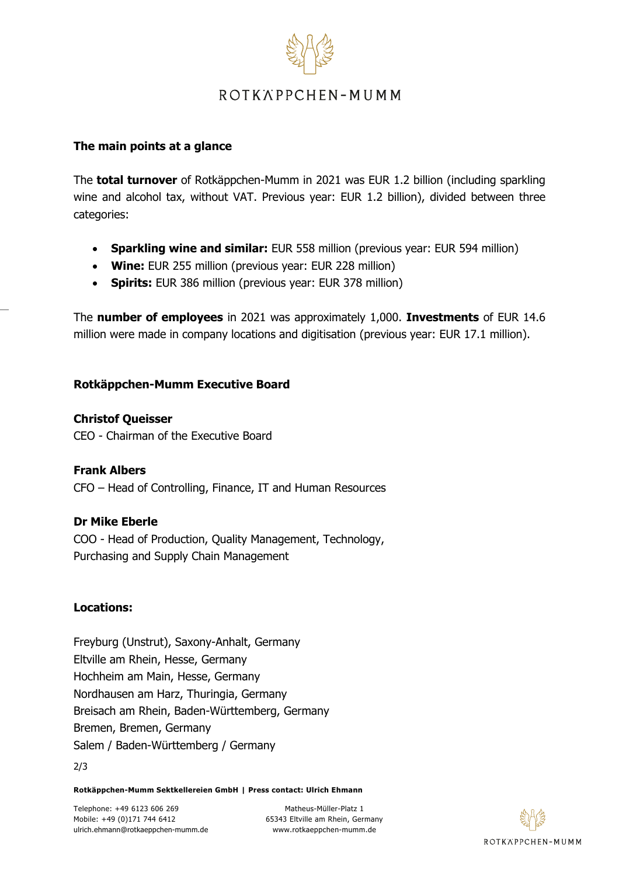

# ROTKÄPPCHEN-MUMM

## **The main points at a glance**

The **total turnover** of Rotkäppchen-Mumm in 2021 was EUR 1.2 billion (including sparkling wine and alcohol tax, without VAT. Previous year: EUR 1.2 billion), divided between three categories:

- **Sparkling wine and similar:** EUR 558 million (previous year: EUR 594 million)
- **Wine:** EUR 255 million (previous year: EUR 228 million)
- **Spirits:** EUR 386 million (previous year: EUR 378 million)

The **number of employees** in 2021 was approximately 1,000. **Investments** of EUR 14.6 million were made in company locations and digitisation (previous year: EUR 17.1 million).

## **Rotkäppchen-Mumm Executive Board**

## **Christof Queisser**

CEO - Chairman of the Executive Board

**Frank Albers** CFO – Head of Controlling, Finance, IT and Human Resources

## **Dr Mike Eberle**

COO - Head of Production, Quality Management, Technology, Purchasing and Supply Chain Management

#### **Locations:**

Freyburg (Unstrut), Saxony-Anhalt, Germany Eltville am Rhein, Hesse, Germany Hochheim am Main, Hesse, Germany Nordhausen am Harz, Thuringia, Germany Breisach am Rhein, Baden-Württemberg, Germany Bremen, Bremen, Germany Salem / Baden-Württemberg / Germany

2/3

**Rotkäppchen-Mumm Sektkellereien GmbH | Press contact: Ulrich Ehmann**